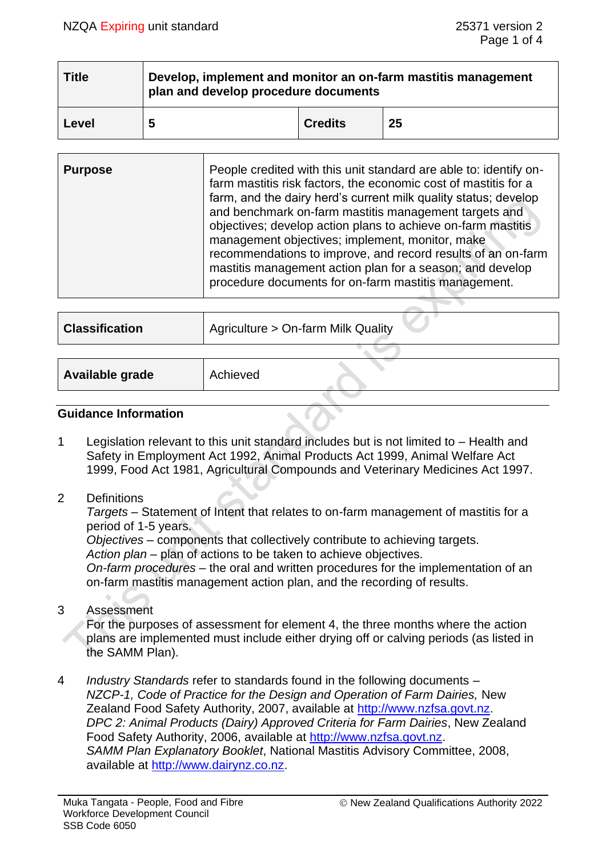| <b>Title</b> | Develop, implement and monitor an on-farm mastitis management<br>$\frac{1}{2}$ plan and develop procedure documents |                |    |  |  |
|--------------|---------------------------------------------------------------------------------------------------------------------|----------------|----|--|--|
| Level        | 5                                                                                                                   | <b>Credits</b> | 25 |  |  |

| <b>Purpose</b> | People credited with this unit standard are able to: identify on-<br>farm mastitis risk factors, the economic cost of mastitis for a<br>farm, and the dairy herd's current milk quality status; develop<br>and benchmark on-farm mastitis management targets and<br>objectives; develop action plans to achieve on-farm mastitis<br>management objectives; implement, monitor, make<br>recommendations to improve, and record results of an on-farm<br>mastitis management action plan for a season; and develop<br>procedure documents for on-farm mastitis management. |
|----------------|--------------------------------------------------------------------------------------------------------------------------------------------------------------------------------------------------------------------------------------------------------------------------------------------------------------------------------------------------------------------------------------------------------------------------------------------------------------------------------------------------------------------------------------------------------------------------|
|                |                                                                                                                                                                                                                                                                                                                                                                                                                                                                                                                                                                          |

| <b>Classification</b> | Agriculture > On-farm Milk Quality |
|-----------------------|------------------------------------|
|                       |                                    |
| Available grade       | Achieved                           |

## **Guidance Information**

- 1 Legislation relevant to this unit standard includes but is not limited to Health and Safety in Employment Act 1992, Animal Products Act 1999, Animal Welfare Act 1999, Food Act 1981, Agricultural Compounds and Veterinary Medicines Act 1997.
- 2 Definitions

*Targets –* Statement of Intent that relates to on-farm management of mastitis for a period of 1-5 years.

*Objectives* – components that collectively contribute to achieving targets. *Action plan* – plan of actions to be taken to achieve objectives. *On-farm procedures* – the oral and written procedures for the implementation of an on-farm mastitis management action plan, and the recording of results.

3 Assessment

For the purposes of assessment for element 4, the three months where the action plans are implemented must include either drying off or calving periods (as listed in the SAMM Plan).

4 *Industry Standards* refer to standards found in the following documents – *NZCP-1, Code of Practice for the Design and Operation of Farm Dairies,* New Zealand Food Safety Authority, 2007, available at [http://www.nzfsa.govt.nz.](http://www.nzfsa.govt.nz/) *DPC 2: Animal Products (Dairy) Approved Criteria for Farm Dairies*, New Zealand Food Safety Authority, 2006, available at [http://www.nzfsa.govt.nz.](http://www.nzfsa.govt.nz/) *SAMM Plan Explanatory Booklet*, National Mastitis Advisory Committee, 2008, available at [http://www.dairynz.co.nz.](http://www.dairynz.co.nz/)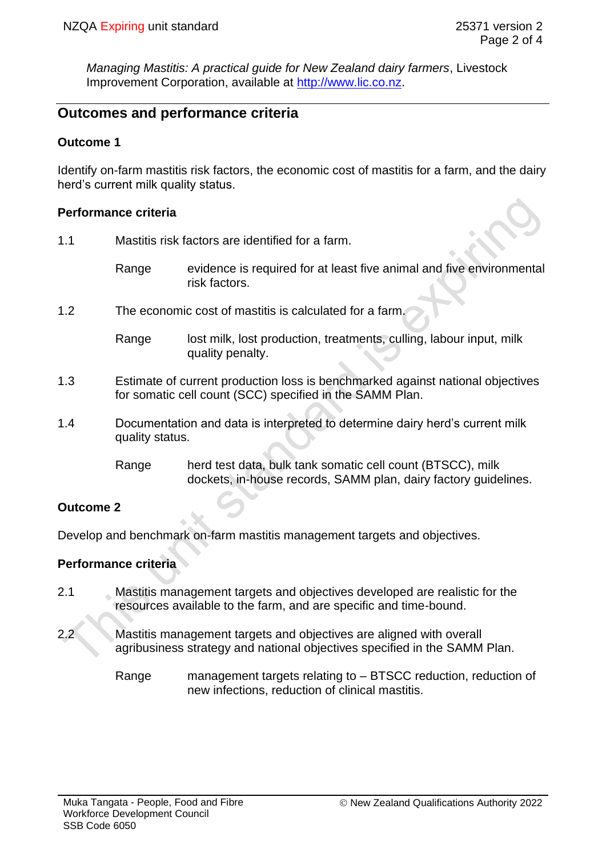*Managing Mastitis: A practical guide for New Zealand dairy farmers*, Livestock Improvement Corporation, available at [http://www.lic.co.nz.](http://www.lic.co.nz/)

# **Outcomes and performance criteria**

### **Outcome 1**

Identify on-farm mastitis risk factors, the economic cost of mastitis for a farm, and the dairy herd's current milk quality status.

#### **Performance criteria**

- 1.1 Mastitis risk factors are identified for a farm.
	- Range evidence is required for at least five animal and five environmental risk factors.
- 1.2 The economic cost of mastitis is calculated for a farm.
	- Range lost milk, lost production, treatments, culling, labour input, milk quality penalty.
- 1.3 Estimate of current production loss is benchmarked against national objectives for somatic cell count (SCC) specified in the SAMM Plan.
- 1.4 Documentation and data is interpreted to determine dairy herd's current milk quality status.
	- Range herd test data, bulk tank somatic cell count (BTSCC), milk dockets, in-house records, SAMM plan, dairy factory guidelines.

## **Outcome 2**

Develop and benchmark on-farm mastitis management targets and objectives.

## **Performance criteria**

- 2.1 Mastitis management targets and objectives developed are realistic for the resources available to the farm, and are specific and time-bound.
- 2.2 Mastitis management targets and objectives are aligned with overall agribusiness strategy and national objectives specified in the SAMM Plan.
	- Range management targets relating to BTSCC reduction, reduction of new infections, reduction of clinical mastitis.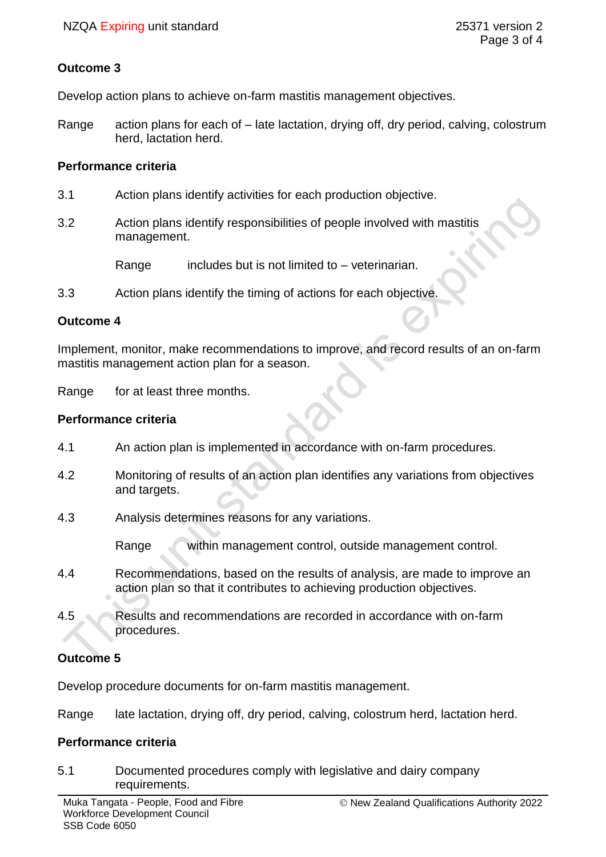## **Outcome 3**

Develop action plans to achieve on-farm mastitis management objectives.

Range action plans for each of – late lactation, drying off, dry period, calving, colostrum herd, lactation herd.

#### **Performance criteria**

- 3.1 Action plans identify activities for each production objective.
- 3.2 Action plans identify responsibilities of people involved with mastitis management.

Range includes but is not limited to – veterinarian.

3.3 Action plans identify the timing of actions for each objective.

#### **Outcome 4**

Implement, monitor, make recommendations to improve, and record results of an on-farm mastitis management action plan for a season.

Range for at least three months.

#### **Performance criteria**

- 4.1 An action plan is implemented in accordance with on-farm procedures.
- 4.2 Monitoring of results of an action plan identifies any variations from objectives and targets.
- 4.3 Analysis determines reasons for any variations.

Range within management control, outside management control.

- 4.4 Recommendations, based on the results of analysis, are made to improve an action plan so that it contributes to achieving production objectives.
- 4.5 Results and recommendations are recorded in accordance with on-farm procedures.

## **Outcome 5**

Develop procedure documents for on-farm mastitis management.

Range late lactation, drying off, dry period, calving, colostrum herd, lactation herd.

## **Performance criteria**

5.1 Documented procedures comply with legislative and dairy company requirements.